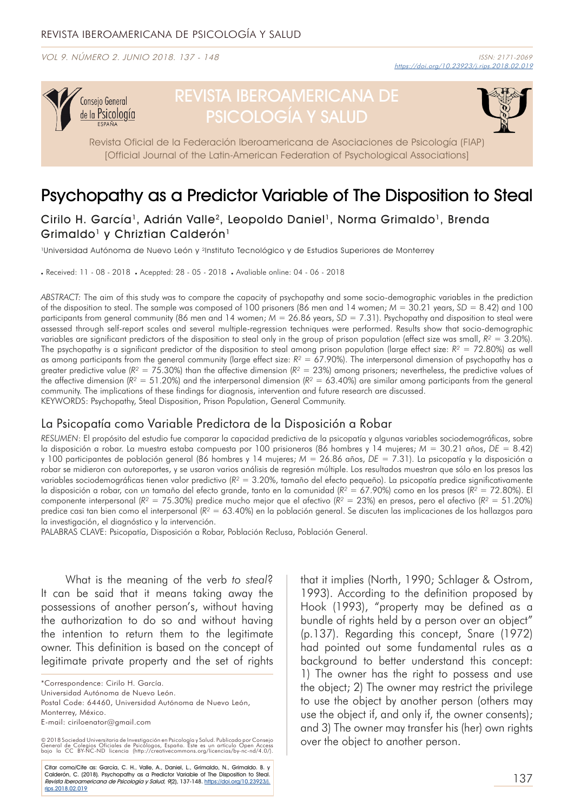VOL 9. NÚMERO 2. JUNIO 2018. 137 - 148



# REVISTA IBEROAMERICANA DE PSICOLOGÍA Y SALUD



Revista Oficial de la Federación Iberoamericana de Asociaciones de Psicología (FIAP) [Official Journal of the Latin-American Federation of Psychological Associations]

# Psychopathy as a Predictor Variable of The Disposition to Steal

Cirilo H. García<sup>1</sup>, Adrián Valle<sup>2</sup>, Leopoldo Daniel<sup>1</sup>, Norma Grimaldo<sup>1</sup>, Brenda Grimaldo<sup>1</sup> y Chriztian Calderón<sup>1</sup>

1Universidad Autónoma de Nuevo León y 2Instituto Tecnológico y de Estudios Superiores de Monterrey

. Received: 11 - 08 - 2018 . Aceppted: 28 - 05 - 2018 . Avaliable online: 04 - 06 - 2018

*ABSTRACT:* The aim of this study was to compare the capacity of psychopathy and some socio-demographic variables in the prediction of the disposition to steal. The sample was composed of 100 prisoners (86 men and 14 women; *M* = 30.21 years, *SD* = 8.42) and 100 participants from general community (86 men and 14 women;  $M = 26.86$  years,  $SD = 7.31$ ). Psychopathy and disposition to steal were assessed through self-report scales and several multiple-regression techniques were performed. Results show that socio-demographic variables are significant predictors of the disposition to steal only in the group of prison population (effect size was small, *R²* = 3.20%). The psychopathy is a significant predictor of the disposition to steal among prison population (large effect size:  $R^2 = 72.80\%$ ) as well as among participants from the general community (large effect size: *R²* = 67.90%). The interpersonal dimension of psychopathy has a greater predictive value (*R²* = 75.30%) than the affective dimension (*R²* = 23%) among prisoners; nevertheless, the predictive values of the affective dimension (*R²* = 51.20%) and the interpersonal dimension (*R²* = 63.40%) are similar among participants from the general community. The implications of these findings for diagnosis, intervention and future research are discussed. KEYWORDS: Psychopathy, Steal Disposition, Prison Population, General Community.

# La Psicopatía como Variable Predictora de la Disposición a Robar

*RESUMEN*: El propósito del estudio fue comparar la capacidad predictiva de la psicopatía y algunas variables sociodemográficas, sobre la disposición a robar. La muestra estaba compuesta por 100 prisioneros (86 hombres y 14 mujeres; *M* = 30.21 años, *DE* = 8.42) y 100 participantes de población general (86 hombres y 14 mujeres; *M* = 26.86 años, *DE* = 7.31). La psicopatía y la disposición a robar se midieron con autoreportes, y se usaron varios análisis de regresión múltiple. Los resultados muestran que sólo en los presos las variables sociodemográficas tienen valor predictivo (*R²* = 3.20%, tamaño del efecto pequeño). La psicopatía predice significativamente la disposición a robar, con un tamaño del efecto grande, tanto en la comunidad (*R²* = 67.90%) como en los presos (*R²* = 72.80%). El componente interpersonal (*R²* = 75.30%) predice mucho mejor que el afectivo (*R²* = 23%) en presos, pero el afectivo (*R²* = 51.20%) predice casi tan bien como el interpersonal (*R²* = 63.40%) en la población general. Se discuten las implicaciones de los hallazgos para la investigación, el diagnóstico y la intervención.

PALABRAS CLAVE: Psicopatía, Disposición a Robar, Población Reclusa, Población General.

What is the meaning of the verb *to steal*? It can be said that it means taking away the possessions of another person's, without having the authorization to do so and without having the intention to return them to the legitimate owner. This definition is based on the concept of legitimate private property and the set of rights

\*Correspondence: Cirilo H. García.

Universidad Autónoma de Nuevo León. Postal Code: 64460, Universidad Autónoma de Nuevo León,

Monterrey, México.

E-mail: ciriloenator@gmail.com

© 2018 Sociedad Universitaria de Investigación en Psicología y Salud. Publicado por Consejo<br>General de Colegios Oficiales de Psicólogos, España. Este es un artículo Open Access<br>bajo la CC BY-NC-ND licenci

Citar como/Cite as: García, C. H., Valle, A., Daniel, L., Grimaldo, N., Grimaldo. B. y Calderón, C. (2018). Psychopathy as a Predictor Variable of The Disposition to Steal.<br>*Revista Iberoamericana de Psicología y Salud, 9*(2), 137-148. <u>https://doi.org/10.23923/j.</u> rips.2018.02.019

that it implies (North, 1990; Schlager & Ostrom, 1993). According to the definition proposed by Hook (1993), "property may be defined as a bundle of rights held by a person over an object" (p.137). Regarding this concept, Snare (1972) had pointed out some fundamental rules as a background to better understand this concept: 1) The owner has the right to possess and use the object; 2) The owner may restrict the privilege to use the object by another person (others may use the object if, and only if, the owner consents); and 3) The owner may transfer his (her) own rights over the object to another person.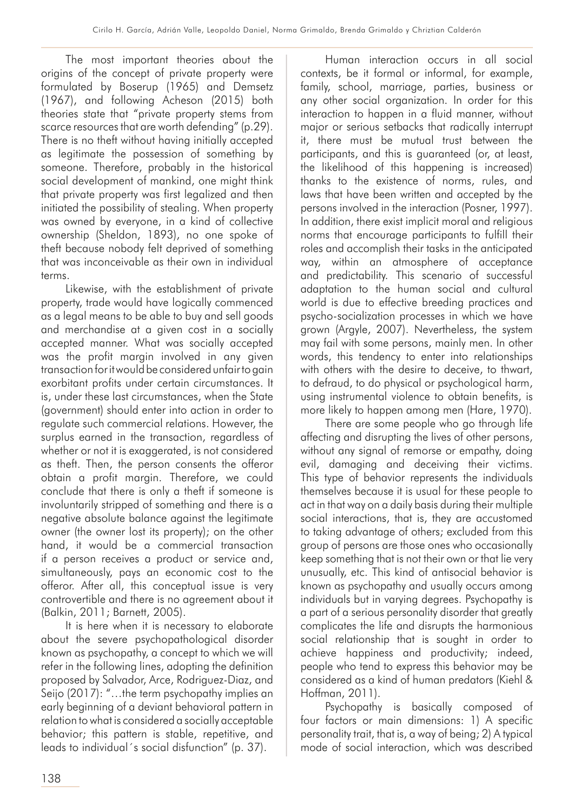The most important theories about the origins of the concept of private property were formulated by Boserup (1965) and Demsetz (1967), and following Acheson (2015) both theories state that "private property stems from scarce resources that are worth defending" (p.29). There is no theft without having initially accepted as legitimate the possession of something by someone. Therefore, probably in the historical social development of mankind, one might think that private property was first legalized and then initiated the possibility of stealing. When property was owned by everyone, in a kind of collective ownership (Sheldon, 1893), no one spoke of theft because nobody felt deprived of something that was inconceivable as their own in individual terms.

Likewise, with the establishment of private property, trade would have logically commenced as a legal means to be able to buy and sell goods and merchandise at a given cost in a socially accepted manner. What was socially accepted was the profit margin involved in any given transaction for it would be considered unfair to gain exorbitant profits under certain circumstances. It is, under these last circumstances, when the State (government) should enter into action in order to regulate such commercial relations. However, the surplus earned in the transaction, regardless of whether or not it is exaggerated, is not considered as theft. Then, the person consents the offeror obtain a profit margin. Therefore, we could conclude that there is only a theft if someone is involuntarily stripped of something and there is a negative absolute balance against the legitimate owner (the owner lost its property); on the other hand, it would be a commercial transaction if a person receives a product or service and, simultaneously, pays an economic cost to the offeror. After all, this conceptual issue is very controvertible and there is no agreement about it (Balkin, 2011; Barnett, 2005).

It is here when it is necessary to elaborate about the severe psychopathological disorder known as psychopathy, a concept to which we will refer in the following lines, adopting the definition proposed by Salvador, Arce, Rodriguez-Diaz, and Seijo (2017): "...the term psychopathy implies an early beginning of a deviant behavioral pattern in relation to what is considered a socially acceptable behavior; this pattern is stable, repetitive, and leads to individual´s social disfunction" (p. 37).

Human interaction occurs in all social contexts, be it formal or informal, for example, family, school, marriage, parties, business or any other social organization. In order for this interaction to happen in a fluid manner, without major or serious setbacks that radically interrupt it, there must be mutual trust between the participants, and this is guaranteed (or, at least, the likelihood of this happening is increased) thanks to the existence of norms, rules, and laws that have been written and accepted by the persons involved in the interaction (Posner, 1997). In addition, there exist implicit moral and religious norms that encourage participants to fulfill their roles and accomplish their tasks in the anticipated way, within an atmosphere of acceptance and predictability. This scenario of successful adaptation to the human social and cultural world is due to effective breeding practices and psycho-socialization processes in which we have grown (Argyle, 2007). Nevertheless, the system may fail with some persons, mainly men. In other words, this tendency to enter into relationships with others with the desire to deceive, to thwart, to defraud, to do physical or psychological harm, using instrumental violence to obtain benefits, is more likely to happen among men (Hare, 1970).

There are some people who go through life affecting and disrupting the lives of other persons, without any signal of remorse or empathy, doing evil, damaging and deceiving their victims. This type of behavior represents the individuals themselves because it is usual for these people to act in that way on a daily basis during their multiple social interactions, that is, they are accustomed to taking advantage of others; excluded from this group of persons are those ones who occasionally keep something that is not their own or that lie very unusually, etc. This kind of antisocial behavior is known as psychopathy and usually occurs among individuals but in varying degrees. Psychopathy is a part of a serious personality disorder that greatly complicates the life and disrupts the harmonious social relationship that is sought in order to achieve happiness and productivity; indeed, people who tend to express this behavior may be considered as a kind of human predators (Kiehl & Hoffman, 2011).

Psychopathy is basically composed of four factors or main dimensions: 1) A specific personality trait, that is, a way of being; 2) A typical mode of social interaction, which was described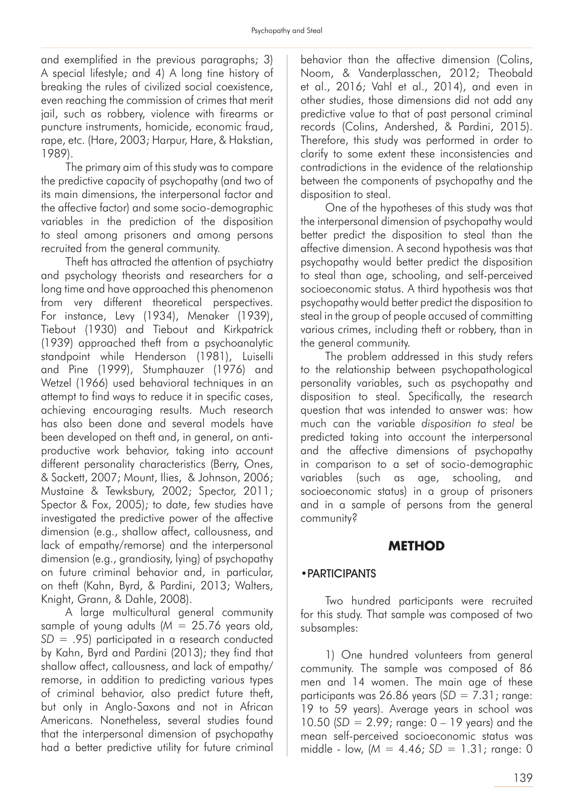and exemplified in the previous paragraphs; 3) A special lifestyle; and 4) A long tine history of breaking the rules of civilized social coexistence, even reaching the commission of crimes that merit jail, such as robbery, violence with firearms or puncture instruments, homicide, economic fraud, rape, etc. (Hare, 2003; Harpur, Hare, & Hakstian, 1989).

The primary aim of this study was to compare the predictive capacity of psychopathy (and two of its main dimensions, the interpersonal factor and the affective factor) and some socio-demographic variables in the prediction of the disposition to steal among prisoners and among persons recruited from the general community.

Theft has attracted the attention of psychiatry and psychology theorists and researchers for a long time and have approached this phenomenon from very different theoretical perspectives. For instance, Levy (1934), Menaker (1939), Tiebout (1930) and Tiebout and Kirkpatrick (1939) approached theft from a psychoanalytic standpoint while Henderson (1981), Luiselli and Pine (1999), Stumphauzer (1976) and Wetzel (1966) used behavioral techniques in an attempt to find ways to reduce it in specific cases, achieving encouraging results. Much research has also been done and several models have been developed on theft and, in general, on antiproductive work behavior, taking into account different personality characteristics (Berry, Ones, & Sackett, 2007; Mount, Ilies, & Johnson, 2006; Mustaine & Tewksbury, 2002; Spector, 2011; Spector & Fox, 2005); to date, few studies have investigated the predictive power of the affective dimension (e.g., shallow affect, callousness, and lack of empathy/remorse) and the interpersonal dimension (e.g., grandiosity, lying) of psychopathy on future criminal behavior and, in particular, on theft (Kahn, Byrd, & Pardini, 2013; Walters, Knight, Grann, & Dahle, 2008).

A large multicultural general community sample of young adults (*M* = 25.76 years old, *SD* = .95) participated in a research conducted by Kahn, Byrd and Pardini (2013); they find that shallow affect, callousness, and lack of empathy/ remorse, in addition to predicting various types of criminal behavior, also predict future theft, but only in Anglo-Saxons and not in African Americans. Nonetheless, several studies found that the interpersonal dimension of psychopathy had a better predictive utility for future criminal

behavior than the affective dimension (Colins, Noom, & Vanderplasschen, 2012; Theobald et al., 2016; Vahl et al., 2014), and even in other studies, those dimensions did not add any predictive value to that of past personal criminal records (Colins, Andershed, & Pardini, 2015). Therefore, this study was performed in order to clarify to some extent these inconsistencies and contradictions in the evidence of the relationship between the components of psychopathy and the disposition to steal.

One of the hypotheses of this study was that the interpersonal dimension of psychopathy would better predict the disposition to steal than the affective dimension. A second hypothesis was that psychopathy would better predict the disposition to steal than age, schooling, and self-perceived socioeconomic status. A third hypothesis was that psychopathy would better predict the disposition to steal in the group of people accused of committing various crimes, including theft or robbery, than in the general community.

The problem addressed in this study refers to the relationship between psychopathological personality variables, such as psychopathy and disposition to steal. Specifically, the research question that was intended to answer was: how much can the variable *disposition to steal* be predicted taking into account the interpersonal and the affective dimensions of psychopathy in comparison to a set of socio-demographic variables (such as age, schooling, and socioeconomic status) in a group of prisoners and in a sample of persons from the general community?

#### **METHOD**

#### •PARTICIPANTS

Two hundred participants were recruited for this study. That sample was composed of two subsamples:

1) One hundred volunteers from general community. The sample was composed of 86 men and 14 women. The main age of these participants was 26.86 years (*SD* = 7.31; range: 19 to 59 years). Average years in school was 10.50 (*SD* = 2.99; range: 0 – 19 years) and the mean self-perceived socioeconomic status was middle - low, (*M* = 4.46; *SD* = 1.31; range: 0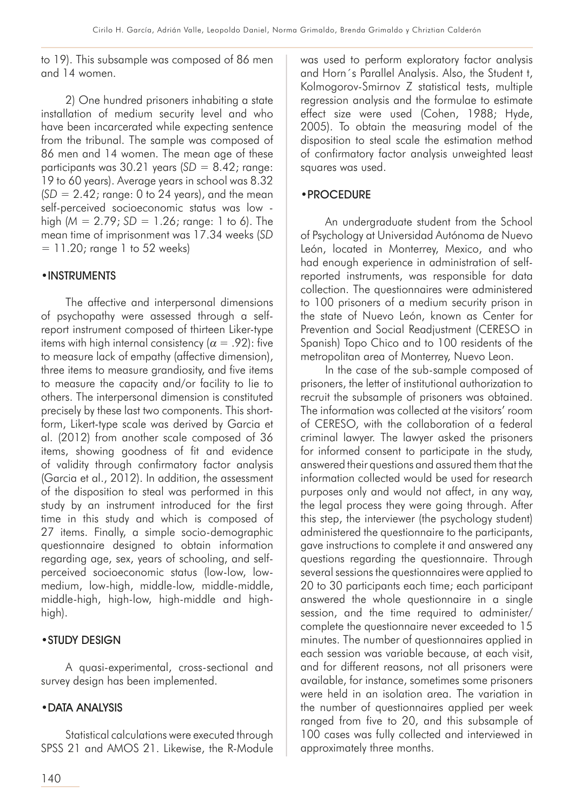to 19). This subsample was composed of 86 men and 14 women.

2) One hundred prisoners inhabiting a state installation of medium security level and who have been incarcerated while expecting sentence from the tribunal. The sample was composed of 86 men and 14 women. The mean age of these participants was 30.21 years (*SD* = 8.42; range: 19 to 60 years). Average years in school was 8.32  $(SD = 2.42;$  range: 0 to 24 years), and the mean self-perceived socioeconomic status was low high (*M* = 2.79; *SD* = 1.26; range: 1 to 6). The mean time of imprisonment was 17.34 weeks (*SD*  $= 11.20$ ; range 1 to 52 weeks)

### •INSTRUMENTS

The affective and interpersonal dimensions of psychopathy were assessed through a selfreport instrument composed of thirteen Liker-type items with high internal consistency ( $\alpha = .92$ ): five to measure lack of empathy (affective dimension), three items to measure grandiosity, and five items to measure the capacity and/or facility to lie to others. The interpersonal dimension is constituted precisely by these last two components. This shortform, Likert-type scale was derived by Garcia et al. (2012) from another scale composed of 36 items, showing goodness of fit and evidence of validity through confirmatory factor analysis (Garcia et al., 2012). In addition, the assessment of the disposition to steal was performed in this study by an instrument introduced for the first time in this study and which is composed of 27 items. Finally, a simple socio-demographic questionnaire designed to obtain information regarding age, sex, years of schooling, and selfperceived socioeconomic status (low-low, lowmedium, low-high, middle-low, middle-middle, middle-high, high-low, high-middle and highhigh).

# •STUDY DESIGN

A quasi-experimental, cross-sectional and survey design has been implemented.

# •DATA ANALYSIS

Statistical calculations were executed through SPSS 21 and AMOS 21. Likewise, the R-Module

was used to perform exploratory factor analysis and Horn´s Parallel Analysis. Also, the Student t, Kolmogorov-Smirnov Z statistical tests, multiple regression analysis and the formulae to estimate effect size were used (Cohen, 1988; Hyde, 2005). To obtain the measuring model of the disposition to steal scale the estimation method of confirmatory factor analysis unweighted least squares was used.

### •PROCEDURE

An undergraduate student from the School of Psychology at Universidad Autónoma de Nuevo León, located in Monterrey, Mexico, and who had enough experience in administration of selfreported instruments, was responsible for data collection. The questionnaires were administered to 100 prisoners of a medium security prison in the state of Nuevo León, known as Center for Prevention and Social Readjustment (CERESO in Spanish) Topo Chico and to 100 residents of the metropolitan area of Monterrey, Nuevo Leon.

In the case of the sub-sample composed of prisoners, the letter of institutional authorization to recruit the subsample of prisoners was obtained. The information was collected at the visitors' room of CERESO, with the collaboration of a federal criminal lawyer. The lawyer asked the prisoners for informed consent to participate in the study, answered their questions and assured them that the information collected would be used for research purposes only and would not affect, in any way, the legal process they were going through. After this step, the interviewer (the psychology student) administered the questionnaire to the participants, gave instructions to complete it and answered any questions regarding the questionnaire. Through several sessions the questionnaires were applied to 20 to 30 participants each time; each participant answered the whole questionnaire in a single session, and the time required to administer/ complete the questionnaire never exceeded to 15 minutes. The number of questionnaires applied in each session was variable because, at each visit, and for different reasons, not all prisoners were available, for instance, sometimes some prisoners were held in an isolation area. The variation in the number of questionnaires applied per week ranged from five to 20, and this subsample of 100 cases was fully collected and interviewed in approximately three months.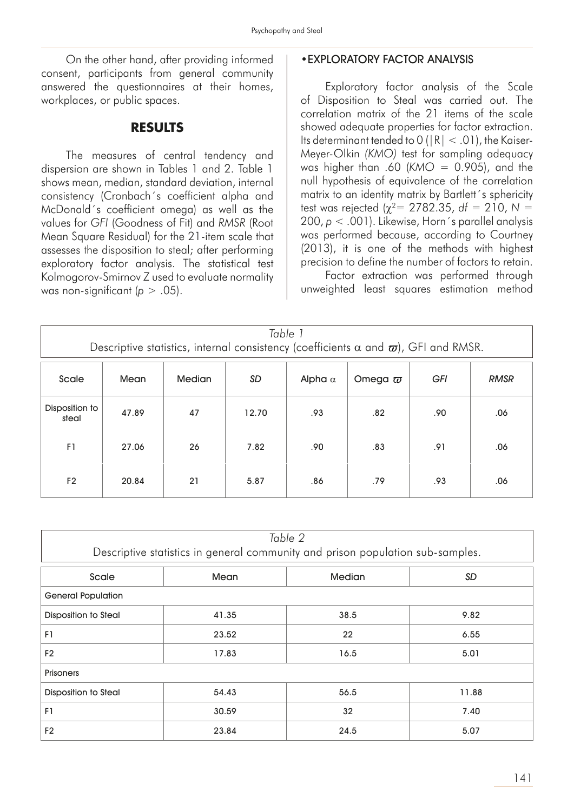On the other hand, after providing informed consent, participants from general community answered the questionnaires at their homes, workplaces, or public spaces.

### **RESULTS**

The measures of central tendency and dispersion are shown in Tables 1 and 2. Table 1 shows mean, median, standard deviation, internal consistency (Cronbach´s coefficient alpha and McDonald´s coefficient omega) as well as the values for *GFI* (Goodness of Fit) and *RMSR* (Root Mean Square Residual) for the 21-item scale that assesses the disposition to steal; after performing exploratory factor analysis. The statistical test Kolmogorov-Smirnov Z used to evaluate normality was non-significant ( $p > .05$ ).

#### •EXPLORATORY FACTOR ANALYSIS

Exploratory factor analysis of the Scale of Disposition to Steal was carried out. The correlation matrix of the 21 items of the scale showed adequate properties for factor extraction. Its determinant tended to  $0$  ( $|R| < .01$ ), the Kaiser-Meyer-Olkin *(KMO)* test for sampling adequacy was higher than .60 (*KMO* = 0.905), and the null hypothesis of equivalence of the correlation matrix to an identity matrix by Bartlett's sphericity test was rejected ( $\gamma^2$  = 2782.35, *df* = 210, N = 200, *p* < .001). Likewise, Horn´s parallel analysis was performed because, according to Courtney (2013), it is one of the methods with highest precision to define the number of factors to retain.

Factor extraction was performed through unweighted least squares estimation method

| Table 1<br>Descriptive statistics, internal consistency (coefficients $\alpha$ and $\varpi$ ), GFI and RMSR. |       |               |           |                |                |     |             |  |  |
|--------------------------------------------------------------------------------------------------------------|-------|---------------|-----------|----------------|----------------|-----|-------------|--|--|
| Scale                                                                                                        | Mean  | <b>Median</b> | <b>SD</b> | Alpha $\alpha$ | Omega $\varpi$ | GFI | <b>RMSR</b> |  |  |
| Disposition to<br>steal                                                                                      | 47.89 | 47            | 12.70     | .93            | .82            | .90 | .06         |  |  |
| F1                                                                                                           | 27.06 | 26            | 7.82      | .90            | .83            | .91 | .06         |  |  |
| F <sub>2</sub>                                                                                               | 20.84 | 21            | 5.87      | .86            | .79            | .93 | .06         |  |  |

| Table 2<br>Descriptive statistics in general community and prison population sub-samples. |       |               |       |  |  |  |  |
|-------------------------------------------------------------------------------------------|-------|---------------|-------|--|--|--|--|
| Scale                                                                                     | Mean  | <b>Median</b> | SD    |  |  |  |  |
| <b>General Population</b>                                                                 |       |               |       |  |  |  |  |
| <b>Disposition to Steal</b>                                                               | 41.35 | 38.5          | 9.82  |  |  |  |  |
| F1                                                                                        | 23.52 | 22            | 6.55  |  |  |  |  |
| F <sub>2</sub>                                                                            | 17.83 | 16.5          | 5.01  |  |  |  |  |
| <b>Prisoners</b>                                                                          |       |               |       |  |  |  |  |
| <b>Disposition to Steal</b>                                                               | 54.43 | 56.5          | 11.88 |  |  |  |  |
| F1                                                                                        | 30.59 | 32            | 7.40  |  |  |  |  |
| F <sub>2</sub><br>23.84                                                                   |       | 24.5          | 5.07  |  |  |  |  |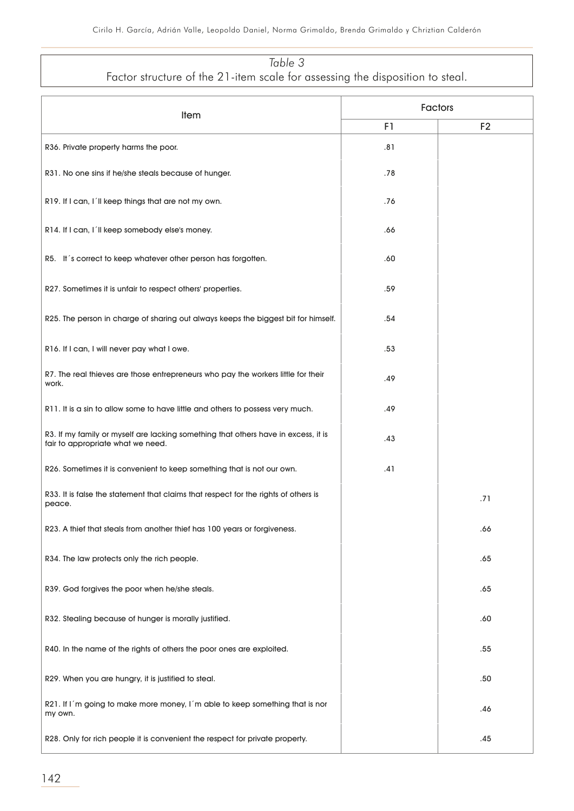# *Table 3*

Factor structure of the 21-item scale for assessing the disposition to steal.

| Item                                                                                                                    | <b>Factors</b> |                |  |
|-------------------------------------------------------------------------------------------------------------------------|----------------|----------------|--|
|                                                                                                                         | F1             | F <sub>2</sub> |  |
| R36. Private property harms the poor.                                                                                   | .81            |                |  |
| R31. No one sins if he/she steals because of hunger.                                                                    | .78            |                |  |
| R19. If I can, I'll keep things that are not my own.                                                                    | .76            |                |  |
| R14. If I can, I'll keep somebody else's money.                                                                         | .66            |                |  |
| R5. It's correct to keep whatever other person has forgotten.                                                           | .60            |                |  |
| R27. Sometimes it is unfair to respect others' properties.                                                              | .59            |                |  |
| R25. The person in charge of sharing out always keeps the biggest bit for himself.                                      | .54            |                |  |
| R16. If I can, I will never pay what I owe.                                                                             | .53            |                |  |
| R7. The real thieves are those entrepreneurs who pay the workers little for their<br>work.                              | .49            |                |  |
| R11. It is a sin to allow some to have little and others to possess very much.                                          | .49            |                |  |
| R3. If my family or myself are lacking something that others have in excess, it is<br>fair to appropriate what we need. | .43            |                |  |
| R26. Sometimes it is convenient to keep something that is not our own.                                                  | .41            |                |  |
| R33. It is false the statement that claims that respect for the rights of others is<br>peace.                           |                | .71            |  |
| R23. A thief that steals from another thief has 100 years or forgiveness.                                               |                | .66            |  |
| R34. The law protects only the rich people.                                                                             |                | .65            |  |
| R39. God forgives the poor when he/she steals.                                                                          |                | .65            |  |
| R32. Stealing because of hunger is morally justified.                                                                   |                | .60            |  |
| R40. In the name of the rights of others the poor ones are exploited.                                                   |                | .55            |  |
| R29. When you are hungry, it is justified to steal.                                                                     |                | .50            |  |
| R21. If I'm going to make more money, I'm able to keep something that is nor<br>my own.                                 |                | .46            |  |
| R28. Only for rich people it is convenient the respect for private property.                                            |                | .45            |  |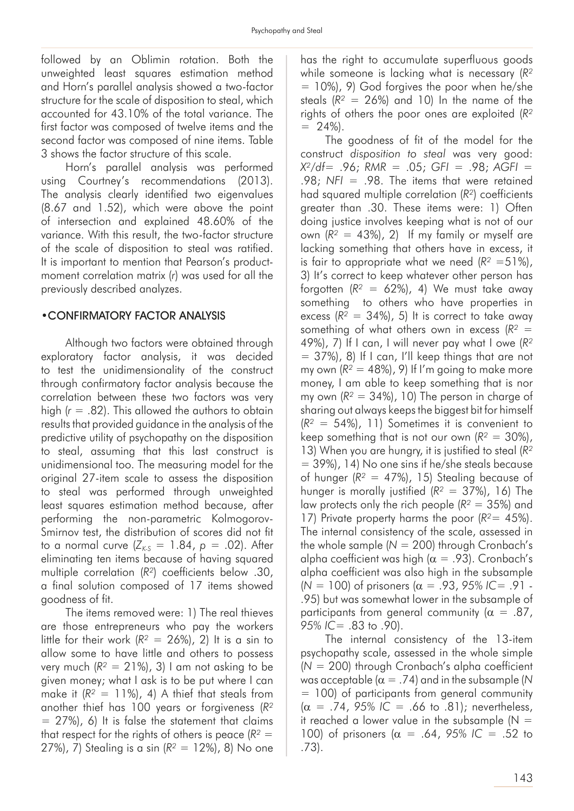followed by an Oblimin rotation. Both the unweighted least squares estimation method and Horn's parallel analysis showed a two-factor structure for the scale of disposition to steal, which accounted for 43.10% of the total variance. The first factor was composed of twelve items and the second factor was composed of nine items. Table 3 shows the factor structure of this scale.

Horn's parallel analysis was performed using Courtney's recommendations (2013). The analysis clearly identified two eigenvalues (8.67 and 1.52), which were above the point of intersection and explained 48.60% of the variance. With this result, the two-factor structure of the scale of disposition to steal was ratified. It is important to mention that Pearson's productmoment correlation matrix (*r*) was used for all the previously described analyzes.

#### •CONFIRMATORY FACTOR ANALYSIS

Although two factors were obtained through exploratory factor analysis, it was decided to test the unidimensionality of the construct through confirmatory factor analysis because the correlation between these two factors was very high (*r* = .82). This allowed the authors to obtain results that provided guidance in the analysis of the predictive utility of psychopathy on the disposition to steal, assuming that this last construct is unidimensional too. The measuring model for the original 27-item scale to assess the disposition to steal was performed through unweighted least squares estimation method because, after performing the non-parametric Kolmogorov-Smirnov test, the distribution of scores did not fit to a normal curve  $(Z_{K_5} = 1.84, p = .02)$ . After eliminating ten items because of having squared multiple correlation (*R²*) coefficients below .30, a final solution composed of 17 items showed goodness of fit.

The items removed were: 1) The real thieves are those entrepreneurs who pay the workers little for their work  $(R^2 = 26\%)$ , 2) It is a sin to allow some to have little and others to possess very much  $(R^2 = 21\%)$ , 3) I am not asking to be given money; what I ask is to be put where I can make it  $(R^2 = 11\%)$ , 4) A thief that steals from another thief has 100 years or forgiveness (*R²*  $= 27\%)$ , 6) It is false the statement that claims that respect for the rights of others is peace  $(R^2 =$ 27%), 7) Stealing is a sin (*R²* = 12%), 8) No one

has the right to accumulate superfluous goods while someone is lacking what is necessary (*R²*  $= 10\%$ , 9) God forgives the poor when he/she steals  $(R^2 = 26\%)$  and 10) In the name of the rights of others the poor ones are exploited (*R²*  $= 24\%$ ).

The goodness of fit of the model for the construct *disposition to steal* was very good: *X²/df*= .96; *RMR* = .05; *GFI* = .98; *AGFI* = .98; *NFI* = .98. The items that were retained had squared multiple correlation (*R²*) coefficients greater than .30. These items were: 1) Often doing justice involves keeping what is not of our own (*R²* = 43%), 2) If my family or myself are lacking something that others have in excess, it is fair to appropriate what we need  $(R^2 = 51\%)$ , 3) It's correct to keep whatever other person has forgotten  $(R^2 = 62\%)$ , 4) We must take away something to others who have properties in excess  $(R^2 = 34\%)$ , 5) It is correct to take away something of what others own in excess (*R²* = 49%), 7) If I can, I will never pay what I owe (*R²*  $= 37\%$ , 8) If I can, I'll keep things that are not my own  $(R^2 = 48\%)$ , 9) If I'm going to make more money, I am able to keep something that is nor my own  $(R^2 = 34\%)$ , 10) The person in charge of sharing out always keeps the biggest bit for himself (*R²* = 54%), 11) Sometimes it is convenient to keep something that is not our own  $(R^2 = 30\%)$ , 13) When you are hungry, it is justified to steal (*R²* = 39%), 14) No one sins if he/she steals because of hunger (*R²* = 47%), 15) Stealing because of hunger is morally justified (*R²* = 37%), 16) The law protects only the rich people (*R²* = 35%) and 17) Private property harms the poor (*R²*= 45%). The internal consistency of the scale, assessed in the whole sample (*N* = 200) through Cronbach's alpha coefficient was high ( $\alpha = .93$ ). Cronbach's alpha coefficient was also high in the subsample (*N* = 100) of prisoners (α = .93, *95% IC*= .91 - .95) but was somewhat lower in the subsample of participants from general community ( $\alpha = .87$ , *95% IC*= .83 to .90).

The internal consistency of the 13-item psychopathy scale, assessed in the whole simple (*N* = 200) through Cronbach's alpha coefficient was acceptable ( $\alpha = .74$ ) and in the subsample (N = 100) of participants from general community  $(\alpha = .74, 95\% \text{ IC} = .66 \text{ to } .81);$  nevertheless, it reached a lower value in the subsample  $(N =$ 100) of prisoners ( $\alpha$  = .64, 95% IC = .52 to .73).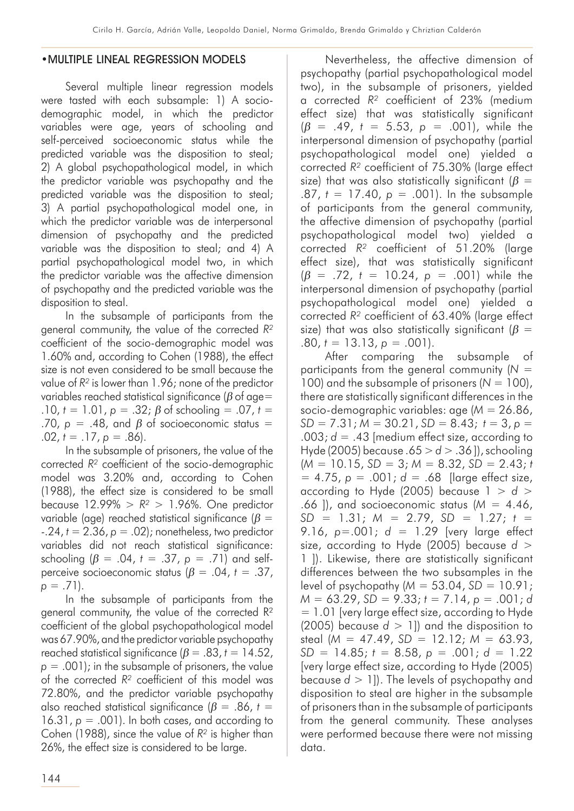#### •MULTIPLE LINEAL REGRESSION MODELS

Several multiple linear regression models were tasted with each subsample: 1) A sociodemographic model, in which the predictor variables were age, years of schooling and self-perceived socioeconomic status while the predicted variable was the disposition to steal; 2) A global psychopathological model, in which the predictor variable was psychopathy and the predicted variable was the disposition to steal; 3) A partial psychopathological model one, in which the predictor variable was de interpersonal dimension of psychopathy and the predicted variable was the disposition to steal; and 4) A partial psychopathological model two, in which the predictor variable was the affective dimension of psychopathy and the predicted variable was the disposition to steal.

In the subsample of participants from the general community, the value of the corrected *R²* coefficient of the socio-demographic model was 1.60% and, according to Cohen (1988), the effect size is not even considered to be small because the value of *R²* is lower than 1.96; none of the predictor variables reached statistical significance ( $\beta$  of age= .10,  $t = 1.01$ ,  $p = .32$ ;  $\beta$  of schooling = .07,  $t =$ .70,  $p = .48$ , and  $\beta$  of socioeconomic status =  $.02, t = .17, p = .86$ ).

In the subsample of prisoners, the value of the corrected *R²* coefficient of the socio-demographic model was 3.20% and, according to Cohen (1988), the effect size is considered to be small because  $12.99\% > R^2 > 1.96\%$ . One predictor variable (age) reached statistical significance ( $\beta$  =  $-24$ ,  $t = 2.36$ ,  $p = .02$ ; nonetheless, two predictor variables did not reach statistical significance: schooling  $(\beta = .04, t = .37, p = .71)$  and selfperceive socioeconomic status  $(\beta = .04, t = .37)$ ,  $p = .71$ ).

In the subsample of participants from the general community, the value of the corrected R² coefficient of the global psychopathological model was 67.90%, and the predictor variable psychopathy reached statistical significance  $(\beta = .83, t = 14.52)$ ,  $p = .001$ ; in the subsample of prisoners, the value of the corrected *R²* coefficient of this model was 72.80%, and the predictor variable psychopathy also reached statistical significance ( $\beta$  = .86, *t* = 16.31,  $p = .001$ ). In both cases, and according to Cohen (1988), since the value of *R²* is higher than 26%, the effect size is considered to be large.

Nevertheless, the affective dimension of psychopathy (partial psychopathological model two), in the subsample of prisoners, yielded a corrected *R²* coefficient of 23% (medium effect size) that was statistically significant  $(\beta = .49, t = 5.53, p = .001)$ , while the interpersonal dimension of psychopathy (partial psychopathological model one) yielded a corrected *R²* coefficient of 75.30% (large effect size) that was also statistically significant ( $\beta$  = .87, *t* = 17.40, *p* = .001). In the subsample of participants from the general community, the affective dimension of psychopathy (partial psychopathological model two) yielded a corrected *R²* coefficient of 51.20% (large effect size), that was statistically significant  $(\beta = .72, t = 10.24, p = .001)$  while the interpersonal dimension of psychopathy (partial psychopathological model one) yielded a corrected *R²* coefficient of 63.40% (large effect size) that was also statistically significant ( $\beta$  =  $.80, t = 13.13, p = .001$ .

After comparing the subsample of participants from the general community (*N* = 100) and the subsample of prisoners  $(N = 100)$ , there are statistically significant differences in the socio-demographic variables: age (*M* = 26.86, *SD* = 7.31; *M* = 30.21, *SD* = 8.43; *t* = 3, *p* = .003; *d* = .43 [medium effect size, according to Hyde (2005) because .65 > *d* > .36 ]), schooling  $(M = 10.15, SD = 3; M = 8.32, SD = 2.43; t$ = 4.75, *p* = .001; *d* = .68 [large effect size, according to Hyde (2005) because 1 > *d* > .66 ]), and socioeconomic status (*M* = 4.46, *SD* = 1.31; *M* = 2.79, *SD* = 1.27; *t* = 9.16, *p*=.001; *d* = 1.29 [very large effect size, according to Hyde (2005) because *d* > 1 ]). Likewise, there are statistically significant differences between the two subsamples in the level of psychopathy  $(M = 53.04, SD = 10.91;$ *M* = 63.29, *SD* = 9.33; *t* = 7.14, *p* = .001; *d*  $= 1.01$  [very large effect size, according to Hyde (2005) because  $d > 1$ ]) and the disposition to steal (*M* = 47.49, *SD* = 12.12; *M* = 63.93, *SD* = 14.85; *t* = 8.58, *p* = .001; *d* = 1.22 [very large effect size, according to Hyde (2005) because *d* > 1]). The levels of psychopathy and disposition to steal are higher in the subsample of prisoners than in the subsample of participants from the general community. These analyses were performed because there were not missing data.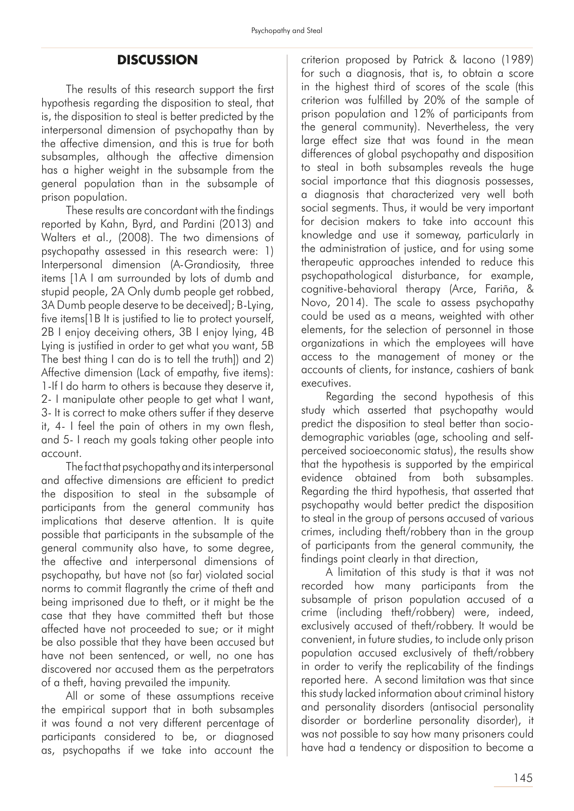# **DISCUSSION**

The results of this research support the first hypothesis regarding the disposition to steal, that is, the disposition to steal is better predicted by the interpersonal dimension of psychopathy than by the affective dimension, and this is true for both subsamples, although the affective dimension has a higher weight in the subsample from the general population than in the subsample of prison population.

These results are concordant with the findings reported by Kahn, Byrd, and Pardini (2013) and Walters et al., (2008). The two dimensions of psychopathy assessed in this research were: 1) Interpersonal dimension (A-Grandiosity, three items [1A I am surrounded by lots of dumb and stupid people, 2A Only dumb people get robbed, 3A Dumb people deserve to be deceived]; B-Lying, five items[1B It is justified to lie to protect yourself, 2B I enjoy deceiving others, 3B I enjoy lying, 4B Lying is justified in order to get what you want, 5B The best thing I can do is to tell the truth]) and 2) Affective dimension (Lack of empathy, five items): 1-If I do harm to others is because they deserve it, 2- I manipulate other people to get what I want, 3- It is correct to make others suffer if they deserve it, 4- I feel the pain of others in my own flesh, and 5- I reach my goals taking other people into account.

The fact that psychopathy and its interpersonal and affective dimensions are efficient to predict the disposition to steal in the subsample of participants from the general community has implications that deserve attention. It is quite possible that participants in the subsample of the general community also have, to some degree, the affective and interpersonal dimensions of psychopathy, but have not (so far) violated social norms to commit flagrantly the crime of theft and being imprisoned due to theft, or it might be the case that they have committed theft but those affected have not proceeded to sue; or it might be also possible that they have been accused but have not been sentenced, or well, no one has discovered nor accused them as the perpetrators of a theft, having prevailed the impunity.

All or some of these assumptions receive the empirical support that in both subsamples it was found a not very different percentage of participants considered to be, or diagnosed as, psychopaths if we take into account the

criterion proposed by Patrick & Iacono (1989) for such a diagnosis, that is, to obtain a score in the highest third of scores of the scale (this criterion was fulfilled by 20% of the sample of prison population and 12% of participants from the general community). Nevertheless, the very large effect size that was found in the mean differences of global psychopathy and disposition to steal in both subsamples reveals the huge social importance that this diagnosis possesses, a diagnosis that characterized very well both social segments. Thus, it would be very important for decision makers to take into account this knowledge and use it someway, particularly in the administration of justice, and for using some therapeutic approaches intended to reduce this psychopathological disturbance, for example, cognitive-behavioral therapy (Arce, Fariña, & Novo, 2014). The scale to assess psychopathy could be used as a means, weighted with other elements, for the selection of personnel in those organizations in which the employees will have access to the management of money or the accounts of clients, for instance, cashiers of bank executives.

Regarding the second hypothesis of this study which asserted that psychopathy would predict the disposition to steal better than sociodemographic variables (age, schooling and selfperceived socioeconomic status), the results show that the hypothesis is supported by the empirical evidence obtained from both subsamples. Regarding the third hypothesis, that asserted that psychopathy would better predict the disposition to steal in the group of persons accused of various crimes, including theft/robbery than in the group of participants from the general community, the findings point clearly in that direction,

A limitation of this study is that it was not recorded how many participants from the subsample of prison population accused of a crime (including theft/robbery) were, indeed, exclusively accused of theft/robbery. It would be convenient, in future studies, to include only prison population accused exclusively of theft/robbery in order to verify the replicability of the findings reported here. A second limitation was that since this study lacked information about criminal history and personality disorders (antisocial personality disorder or borderline personality disorder), it was not possible to say how many prisoners could have had a tendency or disposition to become a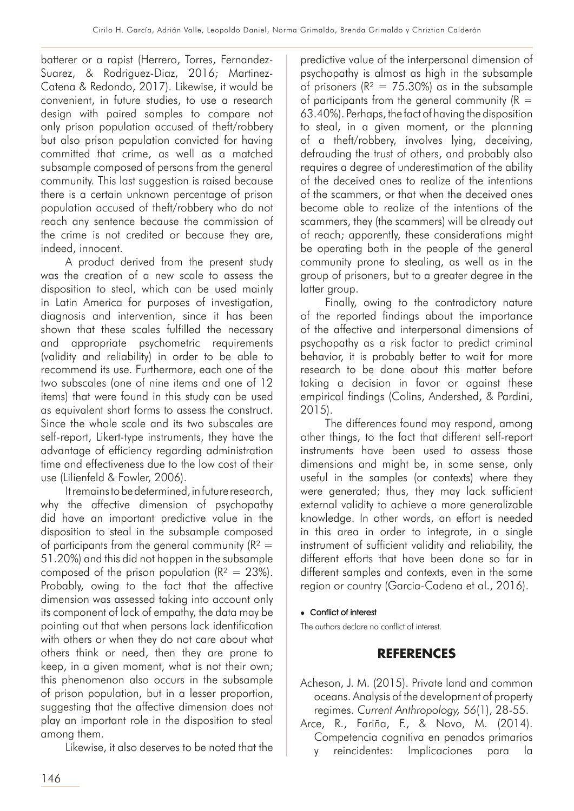batterer or a rapist (Herrero, Torres, Fernandez-Suarez, & Rodriguez-Diaz, 2016; Martinez-Catena & Redondo, 2017). Likewise, it would be convenient, in future studies, to use a research design with paired samples to compare not only prison population accused of theft/robbery but also prison population convicted for having committed that crime, as well as a matched subsample composed of persons from the general community. This last suggestion is raised because there is a certain unknown percentage of prison population accused of theft/robbery who do not reach any sentence because the commission of the crime is not credited or because they are, indeed, innocent.

A product derived from the present study was the creation of a new scale to assess the disposition to steal, which can be used mainly in Latin America for purposes of investigation, diagnosis and intervention, since it has been shown that these scales fulfilled the necessary and appropriate psychometric requirements (validity and reliability) in order to be able to recommend its use. Furthermore, each one of the two subscales (one of nine items and one of 12 items) that were found in this study can be used as equivalent short forms to assess the construct. Since the whole scale and its two subscales are self-report, Likert-type instruments, they have the advantage of efficiency regarding administration time and effectiveness due to the low cost of their use (Lilienfeld & Fowler, 2006).

It remains to be determined, in future research, why the affective dimension of psychopathy did have an important predictive value in the disposition to steal in the subsample composed of participants from the general community  $(R^2 =$ 51.20%) and this did not happen in the subsample composed of the prison population  $(R^2 = 23\%)$ . Probably, owing to the fact that the affective dimension was assessed taking into account only its component of lack of empathy, the data may be pointing out that when persons lack identification with others or when they do not care about what others think or need, then they are prone to keep, in a given moment, what is not their own; this phenomenon also occurs in the subsample of prison population, but in a lesser proportion, suggesting that the affective dimension does not play an important role in the disposition to steal among them.

Likewise, it also deserves to be noted that the

predictive value of the interpersonal dimension of psychopathy is almost as high in the subsample of prisoners ( $R^2 = 75.30\%$ ) as in the subsample of participants from the general community  $(R =$ 63.40%). Perhaps, the fact of having the disposition to steal, in a given moment, or the planning of a theft/robbery, involves lying, deceiving, defrauding the trust of others, and probably also requires a degree of underestimation of the ability of the deceived ones to realize of the intentions of the scammers, or that when the deceived ones become able to realize of the intentions of the scammers, they (the scammers) will be already out of reach; apparently, these considerations might be operating both in the people of the general community prone to stealing, as well as in the group of prisoners, but to a greater degree in the latter group.

Finally, owing to the contradictory nature of the reported findings about the importance of the affective and interpersonal dimensions of psychopathy as a risk factor to predict criminal behavior, it is probably better to wait for more research to be done about this matter before taking a decision in favor or against these empirical findings (Colins, Andershed, & Pardini, 2015).

The differences found may respond, among other things, to the fact that different self-report instruments have been used to assess those dimensions and might be, in some sense, only useful in the samples (or contexts) where they were generated; thus, they may lack sufficient external validity to achieve a more generalizable knowledge. In other words, an effort is needed in this area in order to integrate, in a single instrument of sufficient validity and reliability, the different efforts that have been done so far in different samples and contexts, even in the same region or country (Garcia-Cadena et al., 2016).

#### • Conflict of interest

The authors declare no conflict of interest.

# **REFERENCES**

- Acheson, J. M. (2015). Private land and common oceans. Analysis of the development of property regimes. *Current Anthropology, 56*(1), 28-55.
- Arce, R., Fariña, F., & Novo, M. (2014). Competencia cognitiva en penados primarios y reincidentes: Implicaciones para la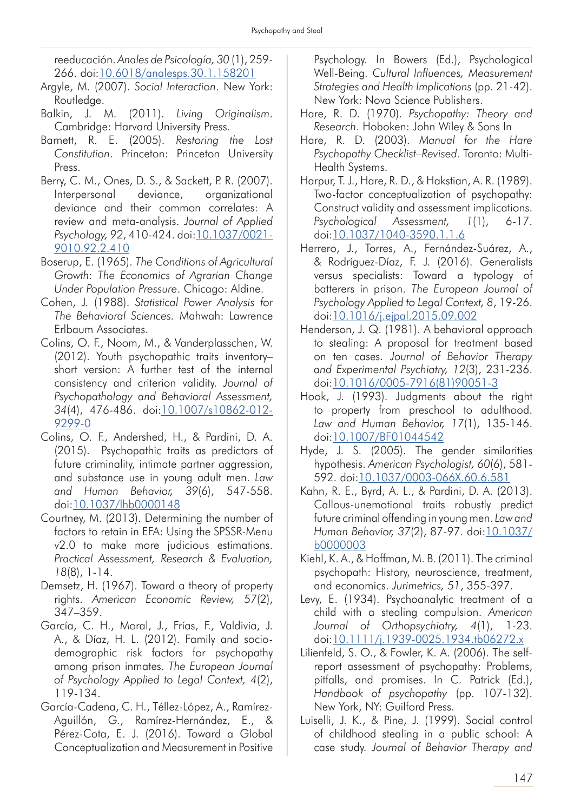reeducación. *Anales de Psicología, 30* (1), 259- 266. doi:[10.6018/analesps.30.1.158201](http://dx.doi.org/10.6018/analesps.30.1.158201)

- Argyle, M. (2007). *Social Interaction*. New York: Routledge.
- Balkin, J. M. (2011). *Living Originalism*. Cambridge: Harvard University Press.
- Barnett, R. E. (2005). *Restoring the Lost Constitution*. Princeton: Princeton University Press.
- Berry, C. M., Ones, D. S., & Sackett, P. R. (2007). Interpersonal deviance, organizational deviance and their common correlates: A review and meta-analysis. *Journal of Applied Psychology, 92*, 410-424. doi[:10.1037/0021-](http://dx.doi.org/10.1037/0021-9010.92.2.410) [9010.92.2.410](http://dx.doi.org/10.1037/0021-9010.92.2.410)
- Boserup, E. (1965). *The Conditions of Agricultural Growth: The Economics of Agrarian Change Under Population Pressure*. Chicago: Aldine.
- Cohen, J. (1988). *Statistical Power Analysis for The Behavioral Sciences.* Mahwah: Lawrence Erlbaum Associates.
- Colins, O. F., Noom, M., & Vanderplasschen, W. (2012). Youth psychopathic traits inventory– short version: A further test of the internal consistency and criterion validity. *Journal of Psychopathology and Behavioral Assessment, 34*(4), 476-486. doi:[10.1007/s10862-012-](http://dx.doi.org/10.1007/s10862-012-9299-0
) [9299-0](http://dx.doi.org/10.1007/s10862-012-9299-0
)
- Colins, O. F., Andershed, H., & Pardini, D. A. (2015). Psychopathic traits as predictors of future criminality, intimate partner aggression, and substance use in young adult men. *Law and Human Behavior, 39*(6), 547-558. doi:[10.1037/lhb0000148](http://dx.doi.org/10.1037/lhb0000148)
- Courtney, M. (2013). Determining the number of factors to retain in EFA: Using the SPSSR-Menu v2.0 to make more judicious estimations. *Practical Assessment, Research & Evaluation, 18*(8), 1-14.
- Demsetz, H. (1967). Toward a theory of property rights. *American Economic Review, 57*(2), 347–359.
- García, C. H., Moral, J., Frías, F., Valdivia, J. A., & Díaz, H. L. (2012). Family and sociodemographic risk factors for psychopathy among prison inmates. *The European Journal of Psychology Applied to Legal Context, 4*(2), 119-134.
- García-Cadena, C. H., Téllez-López, A., Ramírez-Aguillón, G., Ramírez-Hernández, E., & Pérez-Cota, E. J. (2016). Toward a Global Conceptualization and Measurement in Positive

Psychology. In Bowers (Ed.), Psychological Well-Being. *Cultural Influences, Measurement Strategies and Health Implications* (pp. 21-42). New York: Nova Science Publishers.

- Hare, R. D. (1970). *Psychopathy: Theory and Research*. Hoboken: John Wiley & Sons In
- Hare, R. D. (2003). *Manual for the Hare Psychopathy Checklist–Revised*. Toronto: Multi-Health Systems.
- Harpur, T. J., Hare, R. D., & Hakstian, A. R. (1989). Two-factor conceptualization of psychopathy: Construct validity and assessment implications. *Psychological Assessment, 1*(1), 6-17. doi:[10.1037/1040-3590.1.1.6](http://dx.doi.org/10.1037/1040-3590.1.1.6)
- Herrero, J., Torres, A., Fernández-Suárez, A., & Rodríguez-Díaz, F. J. (2016). Generalists versus specialists: Toward a typology of batterers in prison. *The European Journal of Psychology Applied to Legal Context, 8*, 19-26. doi:[10.1016/j.ejpal.2015.09.002](http://dx.doi.org/10.1016/j.ejpal.2015.09.002)
- Henderson, J. Q. (1981). A behavioral approach to stealing: A proposal for treatment based on ten cases. *Journal of Behavior Therapy and Experimental Psychiatry, 12*(3), 231-236. doi:[10.1016/0005-7916\(81\)90051-3](http://dx.doi.org/10.1016/0005-7916(81)90051-3)
- Hook, J. (1993). Judgments about the right to property from preschool to adulthood. *Law and Human Behavior, 17*(1), 135-146. doi:[10.1007/BF01044542](http://dx.doi.org/10.1007/BF01044542)
- Hyde, J. S. (2005). The gender similarities hypothesis. *American Psychologist, 60*(6), 581- 592. doi[:10.1037/0003-066X.60.6.581](http://dx.doi.org/10.1037/0003-066X.60.6.581)
- Kahn, R. E., Byrd, A. L., & Pardini, D. A. (2013). Callous-unemotional traits robustly predict future criminal offending in young men. *Law and Human Behavior, 37*(2), 87-97. doi:[10.1037/](http://dx.doi.org/10.1037/b0000003) [b0000003](http://dx.doi.org/10.1037/b0000003)
- Kiehl, K. A., & Hoffman, M. B. (2011). The criminal psychopath: History, neuroscience, treatment, and economics. *Jurimetrics, 51*, 355-397.
- Levy, E. (1934). Psychoanalytic treatment of a child with a stealing compulsion. *American Journal of Orthopsychiatry, 4*(1), 1-23. doi:[10.1111/j.1939-0025.1934.tb06272.x](http://dx.doi.org/10.1111/j.1939-0025.1934.tb06272.x)
- Lilienfeld, S. O., & Fowler, K. A. (2006). The selfreport assessment of psychopathy: Problems, pitfalls, and promises. In C. Patrick (Ed.), *Handbook of psychopathy* (pp. 107-132). New York, NY: Guilford Press.
- Luiselli, J. K., & Pine, J. (1999). Social control of childhood stealing in a public school: A case study. *Journal of Behavior Therapy and*